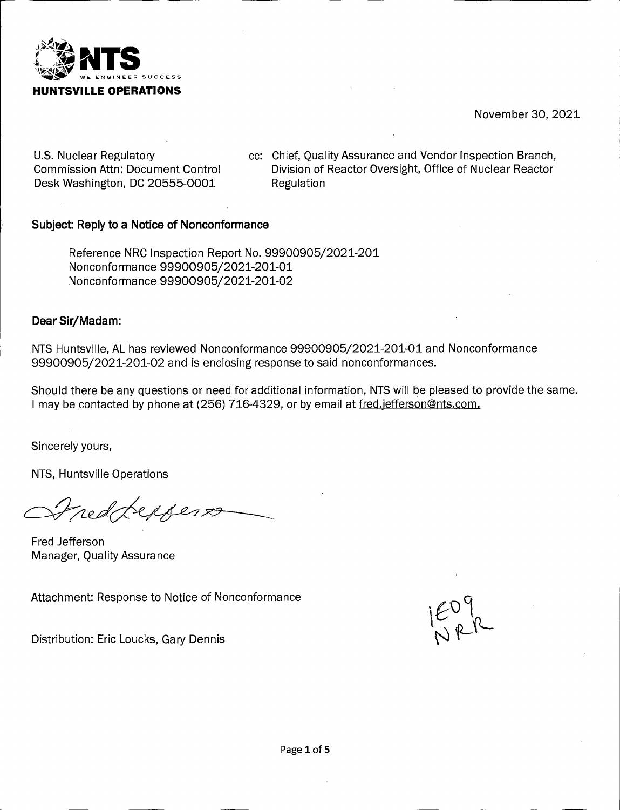

November 30, 2021

U.S. Nuclear Regulatory Commission Attn: Document Control Desk Washington, DC 20555-0001

cc: Chief, Quality Assurance and Vendor Inspection Branch, Division of Reactor Oversight, Office of Nuclear Reactor Regulation

## **Subject: Reply to a Notice of Nonconformance**

Reference NRG Inspection Report No. 99900905/2021-201 Nonconformance 99900905/2021-201-01 Nonconformance 99900905/2021-201-02

### **Dear Sir/Madam:**

NTS Huntsville, AL has reviewed Nonconformance 99900905/2021-201-01 and Nonconformance 99900905/2021-201-02 and is enclosing response to said nonconformances.

Should there be any questions or need for additional information, NTS will be pleased to provide the same. I may be contacted by phone at (256) 716-4329, or by email at fred.jefferson@nts.com.

Sincerely yours,

NTS, Huntsville Operations

neddeppers

Fred Jefferson Manager, Quality Assurance

Attachment: Response to Notice of Nonconformance

 $E_{R}^{(n)}$ 

Distribution: Eric Loucks, Gary Dennis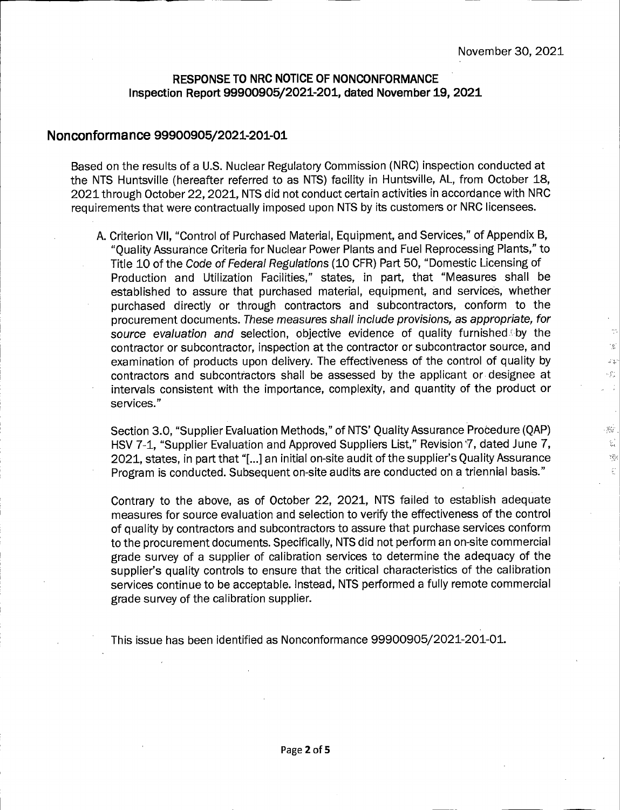$\mathbb{C}^*$  $\mathcal{L}$ sų.  $\mathcal{G}_{\lambda}^{+}$  $\frac{1}{\sqrt{2}}$ 

 $\mathcal{H}_{\mathcal{M}}$ 요.  $\Sigma_{\rm{ex}}^{\rm{2}}$ Ċ

# **RESPONSE TO NRC NOTICE OF NONCONFORMANCE Inspection Report 99900905/2021-201, dated November 19, 2021**

## **Nonconformance 99900905/2021-201-01**

L

Based on the results of a U.S. Nuclear Regulatory Commission (NRC) inspection conducted at the NTS Huntsville (hereafter referred to as NTS) facility in Huntsville, AL, from October 18, 2021 through October 22, 2021, NTS did not conduct certain activities in accordance with NRC requirements that were contractually imposed upon NTS by its customers or NRC licensees.

A. Criterion VII, "Control of Purchased Material, Equipment, and Services," of Appendix B, "Quality Assurance Criteria for Nuclear Power Plants and Fuel Reprocessing Plants," to Title 10 of the Code of Federal Regulations (10 CFR) Part 50, "Domestic Licensing of Production and Utilization Facilities," states, in part, that "Measures shall be established to assure that purchased material, equipment, and services, whether purchased directly or through contractors and subcontractors, conform to the procurement documents. These measures shall include provisions, as appropriate, for source evaluation and selection, objective evidence of quality furnished by the contractor or subcontractor, inspection at the contractor or subcontractor source, and examination of products upon delivery. The effectiveness of the control of quality by contractors and subcontractors shall be assessed by the applicant or designee at intervals consistent with the importance, complexity, and quantity of the product or services."

Section 3.0, "Supplier Evaluation Methods," of NTS' Quality Assurance Procedure (QAP) HSV 7-1, "Supplier Evaluation and Approved Suppliers List," Revision '7, dated June 7, 2021, states, in part that "[...] an initial on-site audit of the supplier's Quality Assurance Program is conducted. Subsequent on-site audits are conducted on a triennial basis."

Contrary to the above, as of October 22, 2021, NTS failed to establish adequate measures for source evaluation and selection to verify the effectiveness of the control of quality by contractors and subcontractors to assure that purchase services conform to the procurement documents. Specifically, NTS did not perform an on-site commercial grade survey of a supplier of calibration services to determine the adequacy of the supplier's quality controls to ensure that the critical characteristics of the calibration services continue to be acceptable. Instead, NTS performed a fully remote commercial grade survey of the calibration supplier.

This issue has been identified as Nonconformance 99900905/2021-201-01.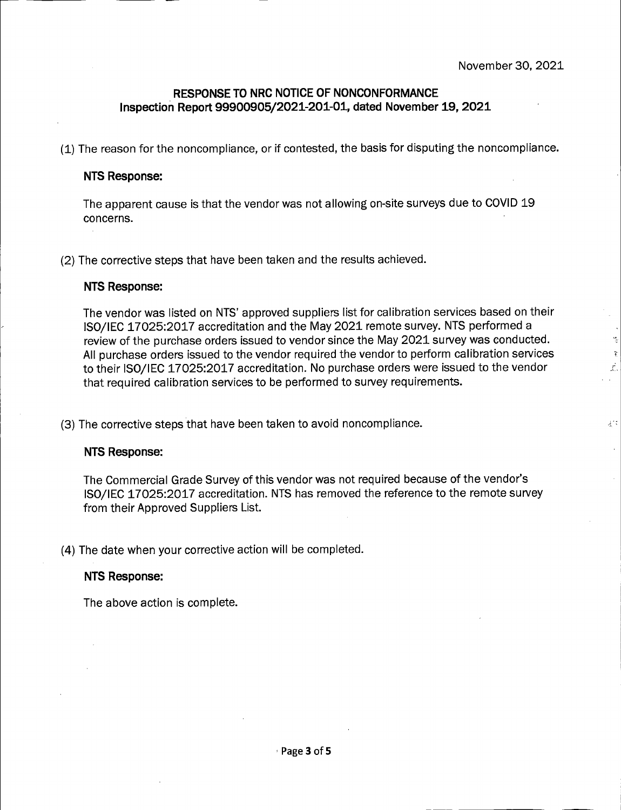r.

## **RESPONSE TO NRC NOTICE OF NONCONFORMANCE Inspection Report 99900905/2021-201-01, dated November 19, 2021**

(1) The reason for the noncompliance, or if contested, the basis for disputing the noncompliance.

### **NTS Response:**

The apparent cause is that the vendor was not allowing on-site surveys due to C0VID <sup>19</sup> concerns.

(2) The corrective steps that have been taken and the results achieved.

### **NTS Response:**

The vendor was listed on NTS' approved suppliers list for calibration services based on their IS0/IEC 17025:2017 accreditation and the May 2021 remote survey. NTS performed a review of the purchase orders issued to vendor since the May 2021 survey was conducted. All purchase orders issued to the vendor required the vendor to perform calibration services  $\ddot{\cdot}$ to their IS0/IEC 17025:2017 accreditation. No purchase orders were issued to the vendor *<sup>i</sup>* that required calibration services to be performed to survey requirements.

(3) The corrective steps that have been taken to avoid noncompliance. *r:* 

#### **NTS Response:**

The Commercial Grade Survey of this vendor was not required because of the vendor's IS0/IEC 17025:2017 accreditation. NTS has removed the reference to the remote survey from their Approved Suppliers List.

(4) The date when your corrective action will be completed.

#### **NTS Response:**

The above action is complete.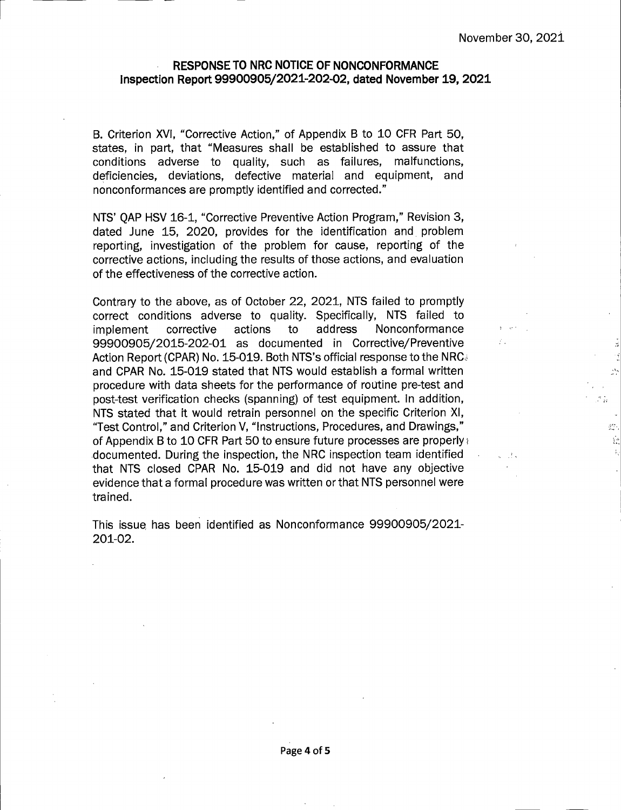yr.

#### **RESPONSE TO NRC NOTICE OF NONCONFORMANCE Inspection Report 99900905/2021-202-02, dated November 19, 2021**

B. Criterion **XVI,** "Corrective Action," of Appendix B to 10 CFR Part 50, states, in part, that "Measures shall be established to assure that conditions adverse to quality, such as failures, malfunctions, deficiencies, deviations, defective material and equipment, and nonconformances are promptly identified and corrected."

NTS' QAP HSV 16-1, "Corrective Preventive Action Program," Revision 3, dated June 15, 2020, provides for the identification and. problem reporting, investigation of the problem for cause, reporting of the corrective actions, including the results of those actions, and evaluation of the effectiveness of the corrective action.

Contrary to the above, as of October 22, 2021, NTS failed to promptly correct conditions adverse to quality. Specifically, NTS failed to implement corrective actions to address Nonconformance 99900905/2015-202-01 as documented in Corrective/Preventive Action Report (CPAR) No. 15-019. Both NTS's official response to the NRC and CPAR No. 15-019 stated that NTS would establish a formal written procedure with data sheets for the performance of routine pre-test and post-test verification checks (spanning) of test equipment. In addition, NTS stated that it would retrain personnel on the specific Criterion XI, "Test Control," and Criterion V, "Instructions, Procedures, and Drawings," of Appendix B to 10 CFR Part 50 to ensure future processes are properly and documented. During the inspection, the NRC inspection team identified that NTS closed CPAR No. 15-019 and did not have any objective evidence that a formal procedure was written or that NTS personnel were trained.

This issue, has been identified as Nonconformance 99900905/2021- 201-02.